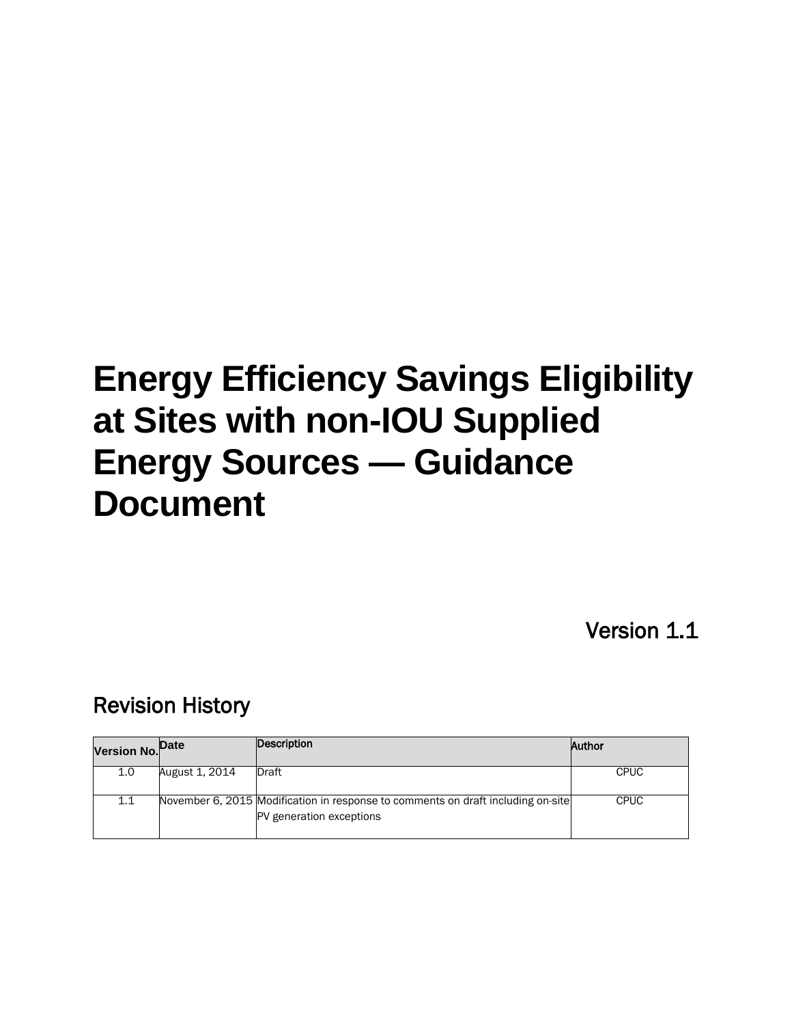# **Energy Efficiency Savings Eligibility at Sites with non-IOU Supplied Energy Sources — Guidance Document**

Version 1.1

# Revision History

| Version No. <sup>Date</sup> |                | Description                                                                                                  | Author      |
|-----------------------------|----------------|--------------------------------------------------------------------------------------------------------------|-------------|
| 1.0                         | August 1, 2014 | Draft                                                                                                        | <b>CPUC</b> |
| 1.1                         |                | November 6, 2015 Modification in response to comments on draft including on-site<br>PV generation exceptions | <b>CPUC</b> |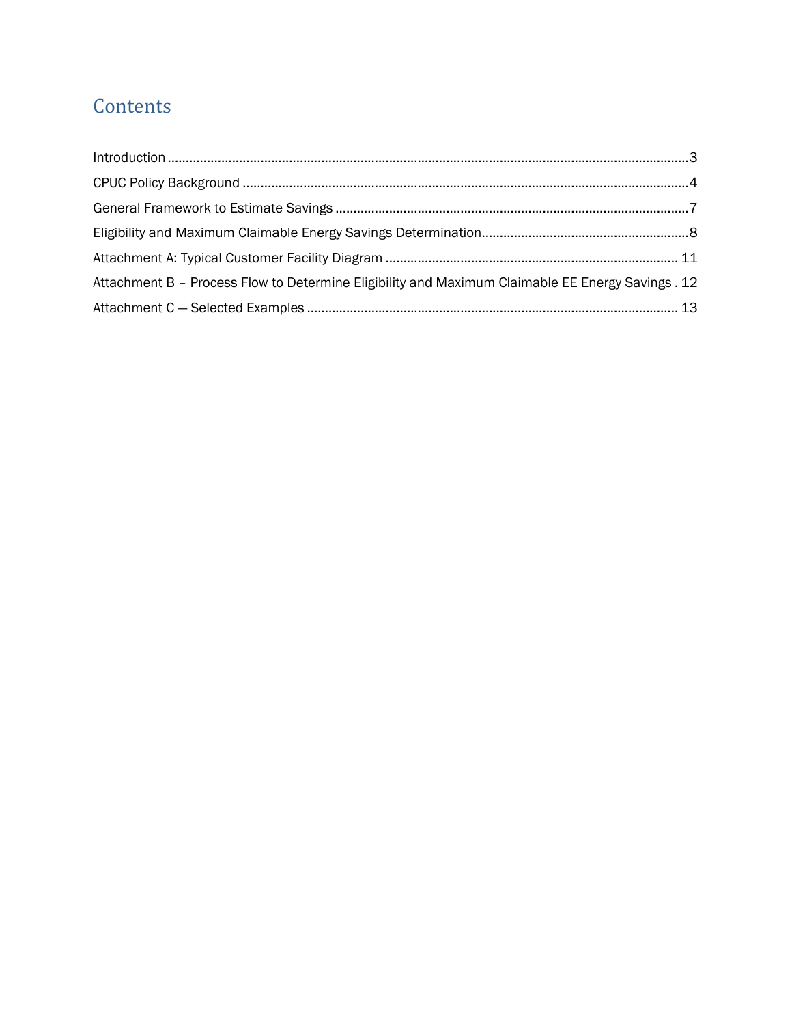# **Contents**

| $\label{lem:1} \mbox{Introduction} \,\, \ldots \,\, \ldots \,\, \ldots \,\, \ldots \,\, \ldots \,\, \ldots \,\, \ldots \,\, \ldots \,\, \ldots \,\, \ldots \,\, \ldots \,\, \ldots \,\, \ldots \,\, \ldots \,\, \ldots \,\, \ldots \,\, \ldots \,\, \ldots \,\, \ldots \,\, \ldots \,\, \ldots \,\, \ldots \,\, \ldots \,\, \ldots \,\, \ldots \,\, \ldots \,\, \ldots \,\, \ldots \,\, \ldots \,\, \ldots \,\, \ldots \,\, \ldots \,\, \ldots \,\, \ldots \,\,$ |  |
|------------------------------------------------------------------------------------------------------------------------------------------------------------------------------------------------------------------------------------------------------------------------------------------------------------------------------------------------------------------------------------------------------------------------------------------------------------------|--|
|                                                                                                                                                                                                                                                                                                                                                                                                                                                                  |  |
|                                                                                                                                                                                                                                                                                                                                                                                                                                                                  |  |
|                                                                                                                                                                                                                                                                                                                                                                                                                                                                  |  |
|                                                                                                                                                                                                                                                                                                                                                                                                                                                                  |  |
| Attachment B - Process Flow to Determine Eligibility and Maximum Claimable EE Energy Savings . 12                                                                                                                                                                                                                                                                                                                                                                |  |
|                                                                                                                                                                                                                                                                                                                                                                                                                                                                  |  |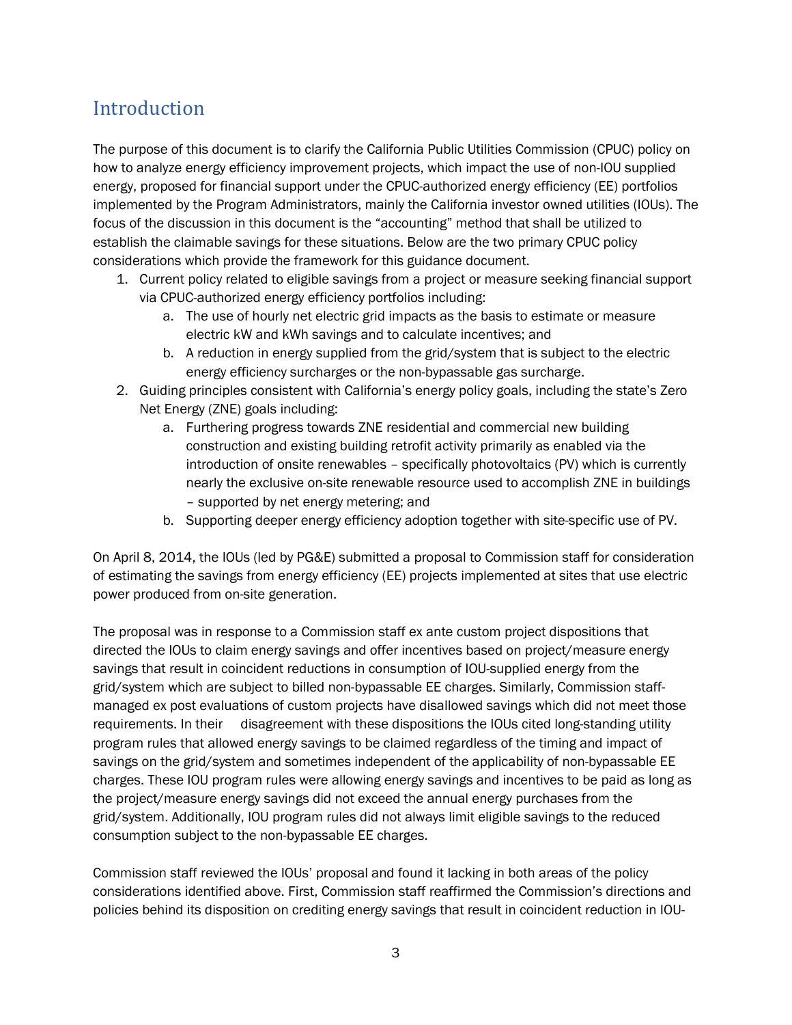### <span id="page-2-0"></span>Introduction

The purpose of this document is to clarify the California Public Utilities Commission (CPUC) policy on how to analyze energy efficiency improvement projects, which impact the use of non-IOU supplied energy, proposed for financial support under the CPUC-authorized energy efficiency (EE) portfolios implemented by the Program Administrators, mainly the California investor owned utilities (IOUs). The focus of the discussion in this document is the "accounting" method that shall be utilized to establish the claimable savings for these situations. Below are the two primary CPUC policy considerations which provide the framework for this guidance document.

- 1. Current policy related to eligible savings from a project or measure seeking financial support via CPUC-authorized energy efficiency portfolios including:
	- a. The use of hourly net electric grid impacts as the basis to estimate or measure electric kW and kWh savings and to calculate incentives; and
	- b. A reduction in energy supplied from the grid/system that is subject to the electric energy efficiency surcharges or the non-bypassable gas surcharge.
- 2. Guiding principles consistent with California's energy policy goals, including the state's Zero Net Energy (ZNE) goals including:
	- a. Furthering progress towards ZNE residential and commercial new building construction and existing building retrofit activity primarily as enabled via the introduction of onsite renewables – specifically photovoltaics (PV) which is currently nearly the exclusive on-site renewable resource used to accomplish ZNE in buildings – supported by net energy metering; and
	- b. Supporting deeper energy efficiency adoption together with site-specific use of PV.

On April 8, 2014, the IOUs (led by PG&E) submitted a proposal to Commission staff for consideration of estimating the savings from energy efficiency (EE) projects implemented at sites that use electric power produced from on-site generation.

The proposal was in response to a Commission staff ex ante custom project dispositions that directed the IOUs to claim energy savings and offer incentives based on project/measure energy savings that result in coincident reductions in consumption of IOU-supplied energy from the grid/system which are subject to billed non-bypassable EE charges. Similarly, Commission staffmanaged ex post evaluations of custom projects have disallowed savings which did not meet those requirements. In their disagreement with these dispositions the IOUs cited long-standing utility program rules that allowed energy savings to be claimed regardless of the timing and impact of savings on the grid/system and sometimes independent of the applicability of non-bypassable EE charges. These IOU program rules were allowing energy savings and incentives to be paid as long as the project/measure energy savings did not exceed the annual energy purchases from the grid/system. Additionally, IOU program rules did not always limit eligible savings to the reduced consumption subject to the non-bypassable EE charges.

Commission staff reviewed the IOUs' proposal and found it lacking in both areas of the policy considerations identified above. First, Commission staff reaffirmed the Commission's directions and policies behind its disposition on crediting energy savings that result in coincident reduction in IOU-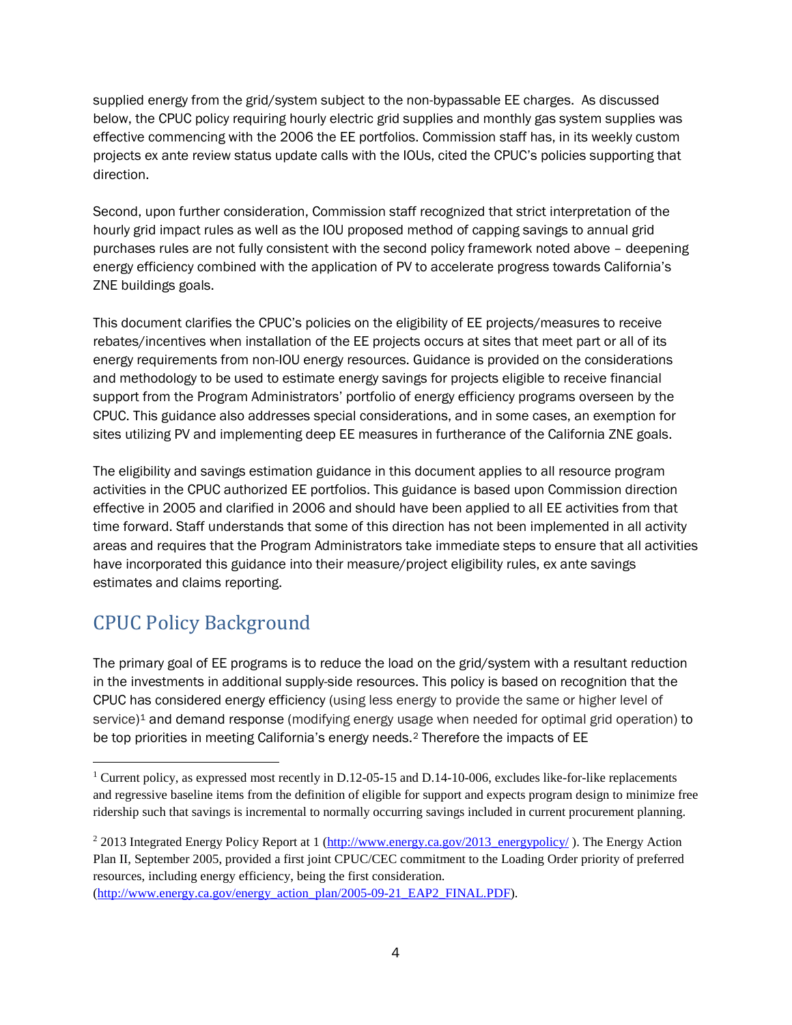supplied energy from the grid/system subject to the non-bypassable EE charges. As discussed below, the CPUC policy requiring hourly electric grid supplies and monthly gas system supplies was effective commencing with the 2006 the EE portfolios. Commission staff has, in its weekly custom projects ex ante review status update calls with the IOUs, cited the CPUC's policies supporting that direction.

Second, upon further consideration, Commission staff recognized that strict interpretation of the hourly grid impact rules as well as the IOU proposed method of capping savings to annual grid purchases rules are not fully consistent with the second policy framework noted above – deepening energy efficiency combined with the application of PV to accelerate progress towards California's ZNE buildings goals.

This document clarifies the CPUC's policies on the eligibility of EE projects/measures to receive rebates/incentives when installation of the EE projects occurs at sites that meet part or all of its energy requirements from non-IOU energy resources. Guidance is provided on the considerations and methodology to be used to estimate energy savings for projects eligible to receive financial support from the Program Administrators' portfolio of energy efficiency programs overseen by the CPUC. This guidance also addresses special considerations, and in some cases, an exemption for sites utilizing PV and implementing deep EE measures in furtherance of the California ZNE goals.

The eligibility and savings estimation guidance in this document applies to all resource program activities in the CPUC authorized EE portfolios. This guidance is based upon Commission direction effective in 2005 and clarified in 2006 and should have been applied to all EE activities from that time forward. Staff understands that some of this direction has not been implemented in all activity areas and requires that the Program Administrators take immediate steps to ensure that all activities have incorporated this guidance into their measure/project eligibility rules, ex ante savings estimates and claims reporting.

# <span id="page-3-0"></span>CPUC Policy Background

1

The primary goal of EE programs is to reduce the load on the grid/system with a resultant reduction in the investments in additional supply-side resources. This policy is based on recognition that the CPUC has considered energy efficiency (using less energy to provide the same or higher level of service)<sup>1</sup> and demand response (modifying energy usage when needed for optimal grid operation) to be top priorities in meeting California's energy needs.[2](#page-3-2) Therefore the impacts of EE

[\(http://www.energy.ca.gov/energy\\_action\\_plan/2005-09-21\\_EAP2\\_FINAL.PDF\)](http://www.energy.ca.gov/energy_action_plan/2005-09-21_EAP2_FINAL.PDF).

<span id="page-3-1"></span><sup>&</sup>lt;sup>1</sup> Current policy, as expressed most recently in D.12-05-15 and D.14-10-006, excludes like-for-like replacements and regressive baseline items from the definition of eligible for support and expects program design to minimize free ridership such that savings is incremental to normally occurring savings included in current procurement planning.

<span id="page-3-2"></span><sup>2</sup> 2013 Integrated Energy Policy Report at 1 [\(http://www.energy.ca.gov/2013\\_energypolicy/](http://www.energy.ca.gov/2013_energypolicy/) ). The Energy Action Plan II, September 2005, provided a first joint CPUC/CEC commitment to the Loading Order priority of preferred resources, including energy efficiency, being the first consideration.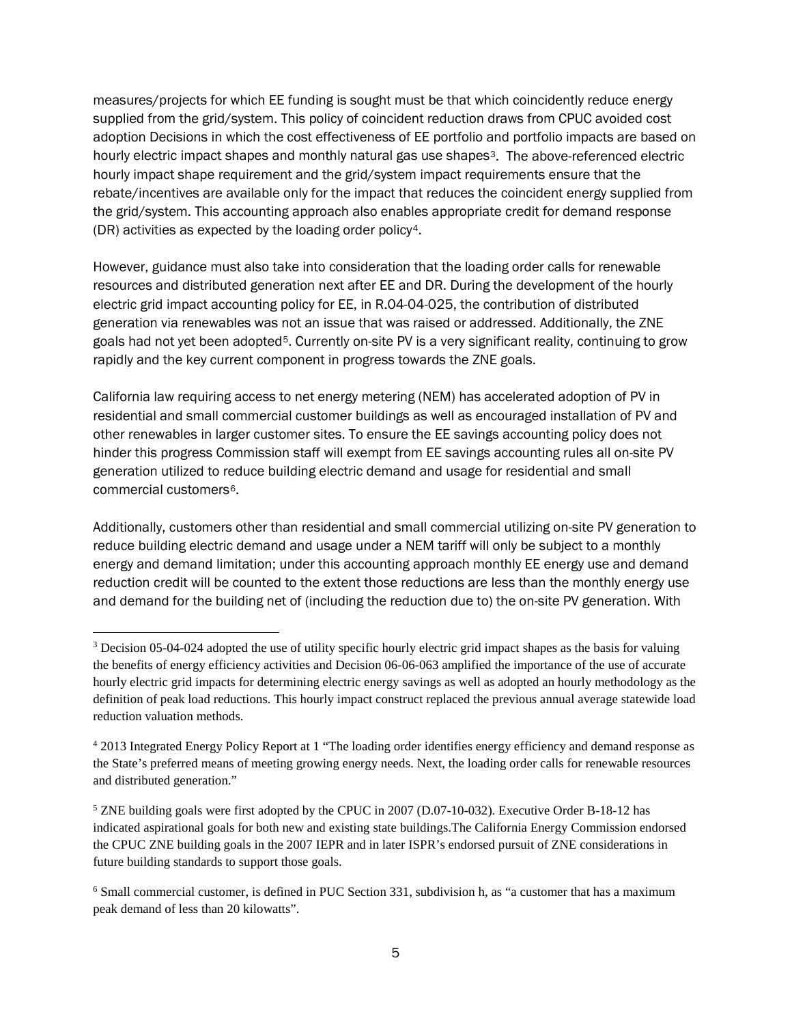measures/projects for which EE funding is sought must be that which coincidently reduce energy supplied from the grid/system. This policy of coincident reduction draws from CPUC avoided cost adoption Decisions in which the cost effectiveness of EE portfolio and portfolio impacts are based on hourly electric impact shapes and monthly natural gas use shapes<sup>[3](#page-4-0)</sup>. The above-referenced electric hourly impact shape requirement and the grid/system impact requirements ensure that the rebate/incentives are available only for the impact that reduces the coincident energy supplied from the grid/system. This accounting approach also enables appropriate credit for demand response (DR) activities as expected by the loading order policy[4](#page-4-1).

However, guidance must also take into consideration that the loading order calls for renewable resources and distributed generation next after EE and DR. During the development of the hourly electric grid impact accounting policy for EE, in R.04-04-025, the contribution of distributed generation via renewables was not an issue that was raised or addressed. Additionally, the ZNE goals had not yet been adopted[5.](#page-4-2) Currently on-site PV is a very significant reality, continuing to grow rapidly and the key current component in progress towards the ZNE goals.

California law requiring access to net energy metering (NEM) has accelerated adoption of PV in residential and small commercial customer buildings as well as encouraged installation of PV and other renewables in larger customer sites. To ensure the EE savings accounting policy does not hinder this progress Commission staff will exempt from EE savings accounting rules all on-site PV generation utilized to reduce building electric demand and usage for residential and small commercial customers[6](#page-4-3).

Additionally, customers other than residential and small commercial utilizing on-site PV generation to reduce building electric demand and usage under a NEM tariff will only be subject to a monthly energy and demand limitation; under this accounting approach monthly EE energy use and demand reduction credit will be counted to the extent those reductions are less than the monthly energy use and demand for the building net of (including the reduction due to) the on-site PV generation. With

 $\overline{a}$ 

<span id="page-4-0"></span><sup>3</sup> Decision 05-04-024 adopted the use of utility specific hourly electric grid impact shapes as the basis for valuing the benefits of energy efficiency activities and Decision 06-06-063 amplified the importance of the use of accurate hourly electric grid impacts for determining electric energy savings as well as adopted an hourly methodology as the definition of peak load reductions. This hourly impact construct replaced the previous annual average statewide load reduction valuation methods.

<span id="page-4-1"></span><sup>4</sup> 2013 Integrated Energy Policy Report at 1 "The loading order identifies energy efficiency and demand response as the State's preferred means of meeting growing energy needs. Next, the loading order calls for renewable resources and distributed generation."

<span id="page-4-2"></span><sup>5</sup> ZNE building goals were first adopted by the CPUC in 2007 (D.07-10-032). Executive Order B-18-12 has indicated aspirational goals for both new and existing state buildings.The California Energy Commission endorsed the CPUC ZNE building goals in the 2007 IEPR and in later ISPR's endorsed pursuit of ZNE considerations in future building standards to support those goals.

<span id="page-4-3"></span><sup>6</sup> Small commercial customer, is defined in PUC Section 331, subdivision h, as "a customer that has a maximum peak demand of less than 20 kilowatts".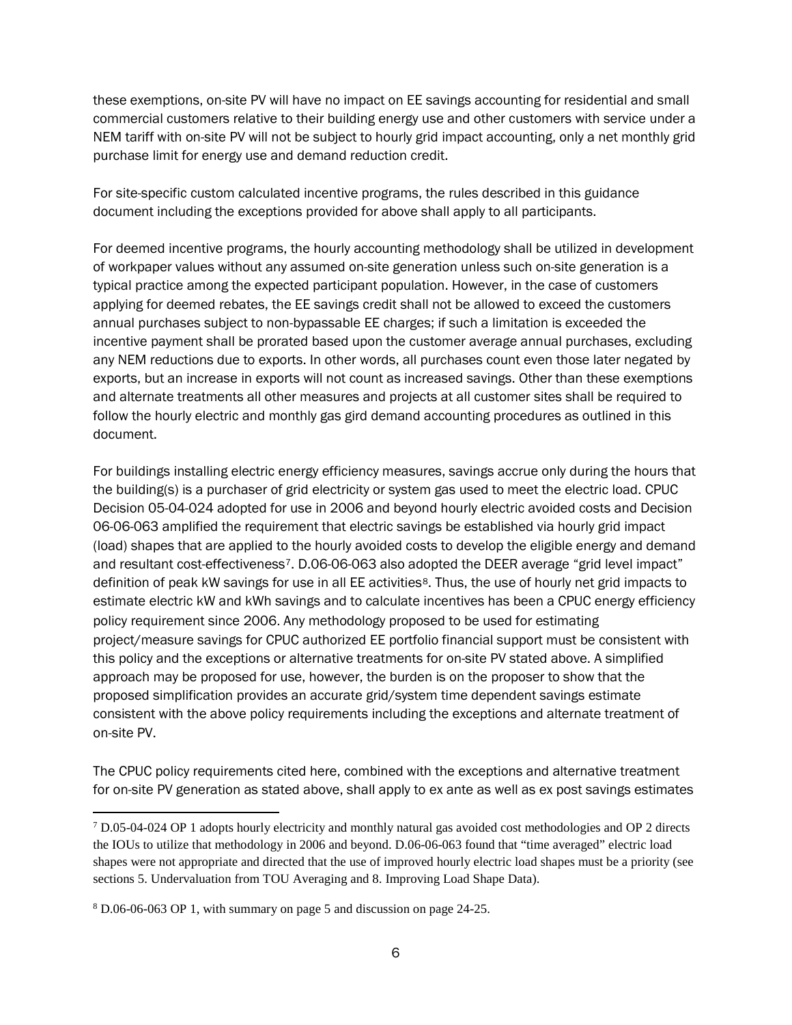these exemptions, on-site PV will have no impact on EE savings accounting for residential and small commercial customers relative to their building energy use and other customers with service under a NEM tariff with on-site PV will not be subject to hourly grid impact accounting, only a net monthly grid purchase limit for energy use and demand reduction credit.

For site-specific custom calculated incentive programs, the rules described in this guidance document including the exceptions provided for above shall apply to all participants.

For deemed incentive programs, the hourly accounting methodology shall be utilized in development of workpaper values without any assumed on-site generation unless such on-site generation is a typical practice among the expected participant population. However, in the case of customers applying for deemed rebates, the EE savings credit shall not be allowed to exceed the customers annual purchases subject to non-bypassable EE charges; if such a limitation is exceeded the incentive payment shall be prorated based upon the customer average annual purchases, excluding any NEM reductions due to exports. In other words, all purchases count even those later negated by exports, but an increase in exports will not count as increased savings. Other than these exemptions and alternate treatments all other measures and projects at all customer sites shall be required to follow the hourly electric and monthly gas gird demand accounting procedures as outlined in this document.

For buildings installing electric energy efficiency measures, savings accrue only during the hours that the building(s) is a purchaser of grid electricity or system gas used to meet the electric load. CPUC Decision 05-04-024 adopted for use in 2006 and beyond hourly electric avoided costs and Decision 06-06-063 amplified the requirement that electric savings be established via hourly grid impact (load) shapes that are applied to the hourly avoided costs to develop the eligible energy and demand and resultant cost-effectiveness[7](#page-5-0). D.06-06-063 also adopted the DEER average "grid level impact" definition of peak kW savings for use in all EE activities<sup>8</sup>. Thus, the use of hourly net grid impacts to estimate electric kW and kWh savings and to calculate incentives has been a CPUC energy efficiency policy requirement since 2006. Any methodology proposed to be used for estimating project/measure savings for CPUC authorized EE portfolio financial support must be consistent with this policy and the exceptions or alternative treatments for on-site PV stated above. A simplified approach may be proposed for use, however, the burden is on the proposer to show that the proposed simplification provides an accurate grid/system time dependent savings estimate consistent with the above policy requirements including the exceptions and alternate treatment of on-site PV.

The CPUC policy requirements cited here, combined with the exceptions and alternative treatment for on-site PV generation as stated above, shall apply to ex ante as well as ex post savings estimates

1

<span id="page-5-0"></span> $7$  D.05-04-024 OP 1 adopts hourly electricity and monthly natural gas avoided cost methodologies and OP 2 directs the IOUs to utilize that methodology in 2006 and beyond. D.06-06-063 found that "time averaged" electric load shapes were not appropriate and directed that the use of improved hourly electric load shapes must be a priority (see sections 5. Undervaluation from TOU Averaging and 8. Improving Load Shape Data).

<span id="page-5-1"></span><sup>8</sup> D.06-06-063 OP 1, with summary on page 5 and discussion on page 24-25.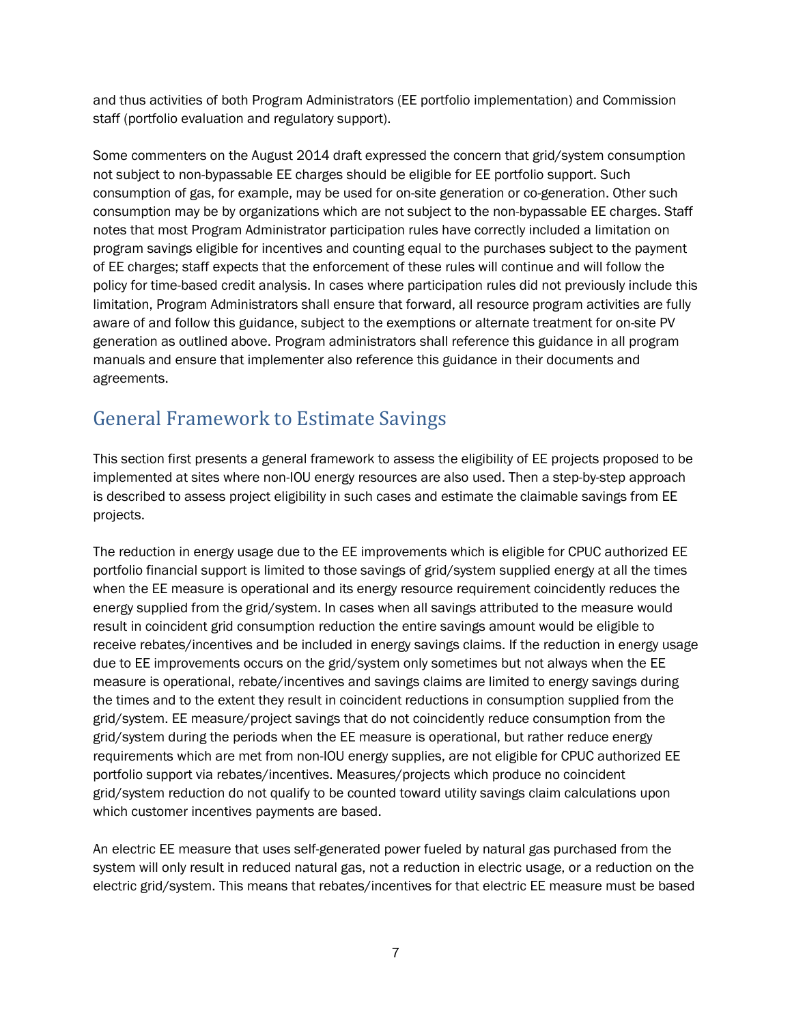and thus activities of both Program Administrators (EE portfolio implementation) and Commission staff (portfolio evaluation and regulatory support).

Some commenters on the August 2014 draft expressed the concern that grid/system consumption not subject to non-bypassable EE charges should be eligible for EE portfolio support. Such consumption of gas, for example, may be used for on-site generation or co-generation. Other such consumption may be by organizations which are not subject to the non-bypassable EE charges. Staff notes that most Program Administrator participation rules have correctly included a limitation on program savings eligible for incentives and counting equal to the purchases subject to the payment of EE charges; staff expects that the enforcement of these rules will continue and will follow the policy for time-based credit analysis. In cases where participation rules did not previously include this limitation, Program Administrators shall ensure that forward, all resource program activities are fully aware of and follow this guidance, subject to the exemptions or alternate treatment for on-site PV generation as outlined above. Program administrators shall reference this guidance in all program manuals and ensure that implementer also reference this guidance in their documents and agreements.

# <span id="page-6-0"></span>General Framework to Estimate Savings

This section first presents a general framework to assess the eligibility of EE projects proposed to be implemented at sites where non-IOU energy resources are also used. Then a step-by-step approach is described to assess project eligibility in such cases and estimate the claimable savings from EE projects.

The reduction in energy usage due to the EE improvements which is eligible for CPUC authorized EE portfolio financial support is limited to those savings of grid/system supplied energy at all the times when the EE measure is operational and its energy resource requirement coincidently reduces the energy supplied from the grid/system. In cases when all savings attributed to the measure would result in coincident grid consumption reduction the entire savings amount would be eligible to receive rebates/incentives and be included in energy savings claims. If the reduction in energy usage due to EE improvements occurs on the grid/system only sometimes but not always when the EE measure is operational, rebate/incentives and savings claims are limited to energy savings during the times and to the extent they result in coincident reductions in consumption supplied from the grid/system. EE measure/project savings that do not coincidently reduce consumption from the grid/system during the periods when the EE measure is operational, but rather reduce energy requirements which are met from non-IOU energy supplies, are not eligible for CPUC authorized EE portfolio support via rebates/incentives. Measures/projects which produce no coincident grid/system reduction do not qualify to be counted toward utility savings claim calculations upon which customer incentives payments are based.

An electric EE measure that uses self-generated power fueled by natural gas purchased from the system will only result in reduced natural gas, not a reduction in electric usage, or a reduction on the electric grid/system. This means that rebates/incentives for that electric EE measure must be based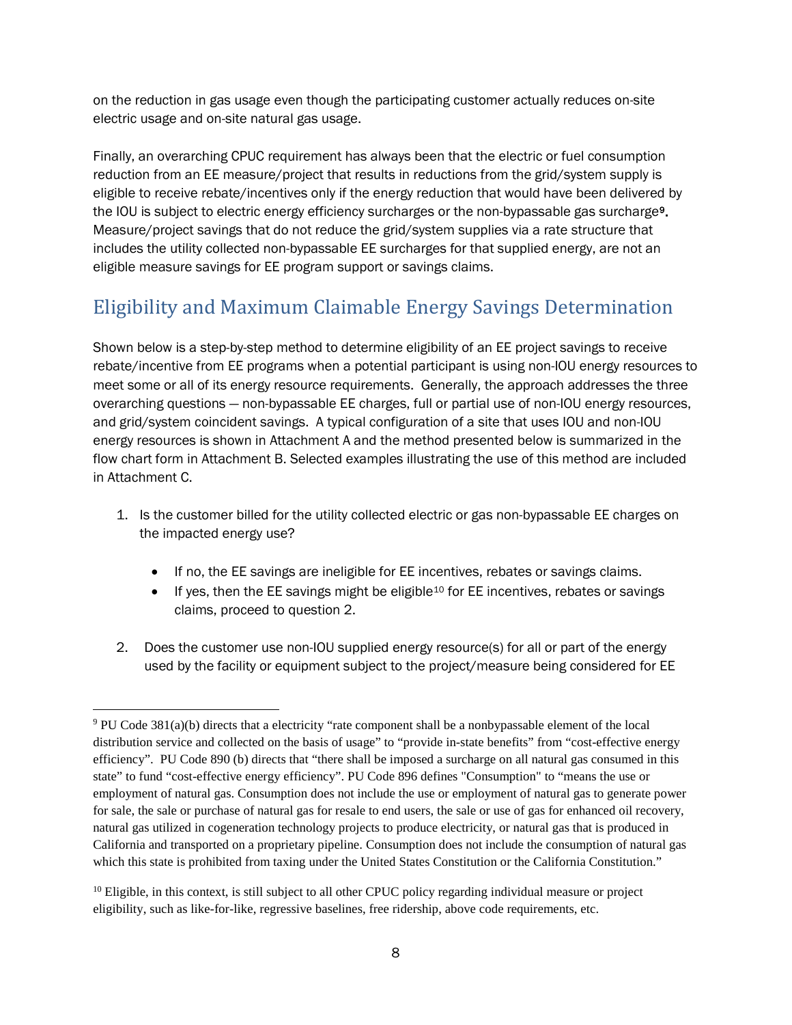on the reduction in gas usage even though the participating customer actually reduces on-site electric usage and on-site natural gas usage.

Finally, an overarching CPUC requirement has always been that the electric or fuel consumption reduction from an EE measure/project that results in reductions from the grid/system supply is eligible to receive rebate/incentives only if the energy reduction that would have been delivered by the IOU is subject to electric energy efficiency surcharges or the non-bypassable gas surcharge[9](#page-7-1). Measure/project savings that do not reduce the grid/system supplies via a rate structure that includes the utility collected non-bypassable EE surcharges for that supplied energy, are not an eligible measure savings for EE program support or savings claims.

# <span id="page-7-0"></span>Eligibility and Maximum Claimable Energy Savings Determination

Shown below is a step-by-step method to determine eligibility of an EE project savings to receive rebate/incentive from EE programs when a potential participant is using non-IOU energy resources to meet some or all of its energy resource requirements. Generally, the approach addresses the three overarching questions — non-bypassable EE charges, full or partial use of non-IOU energy resources, and grid/system coincident savings. A typical configuration of a site that uses IOU and non-IOU energy resources is shown in Attachment A and the method presented below is summarized in the flow chart form in Attachment B. Selected examples illustrating the use of this method are included in Attachment C.

- 1. Is the customer billed for the utility collected electric or gas non-bypassable EE charges on the impacted energy use?
	- If no, the EE savings are ineligible for EE incentives, rebates or savings claims.
	- If yes, then the EE savings might be eligible<sup>10</sup> for EE incentives, rebates or savings claims, proceed to question 2.
- 2. Does the customer use non-IOU supplied energy resource(s) for all or part of the energy used by the facility or equipment subject to the project/measure being considered for EE

<span id="page-7-1"></span> $\ddot{\phantom{a}}$ <sup>9</sup> PU Code 381(a)(b) directs that a electricity "rate component shall be a nonbypassable element of the local distribution service and collected on the basis of usage" to "provide in-state benefits" from "cost-effective energy efficiency". PU Code 890 (b) directs that "there shall be imposed a surcharge on all natural gas consumed in this state" to fund "cost-effective energy efficiency". PU Code 896 defines "Consumption" to "means the use or employment of natural gas. Consumption does not include the use or employment of natural gas to generate power for sale, the sale or purchase of natural gas for resale to end users, the sale or use of gas for enhanced oil recovery, natural gas utilized in cogeneration technology projects to produce electricity, or natural gas that is produced in California and transported on a proprietary pipeline. Consumption does not include the consumption of natural gas which this state is prohibited from taxing under the United States Constitution or the California Constitution."

<span id="page-7-2"></span> $10$  Eligible, in this context, is still subject to all other CPUC policy regarding individual measure or project eligibility, such as like-for-like, regressive baselines, free ridership, above code requirements, etc.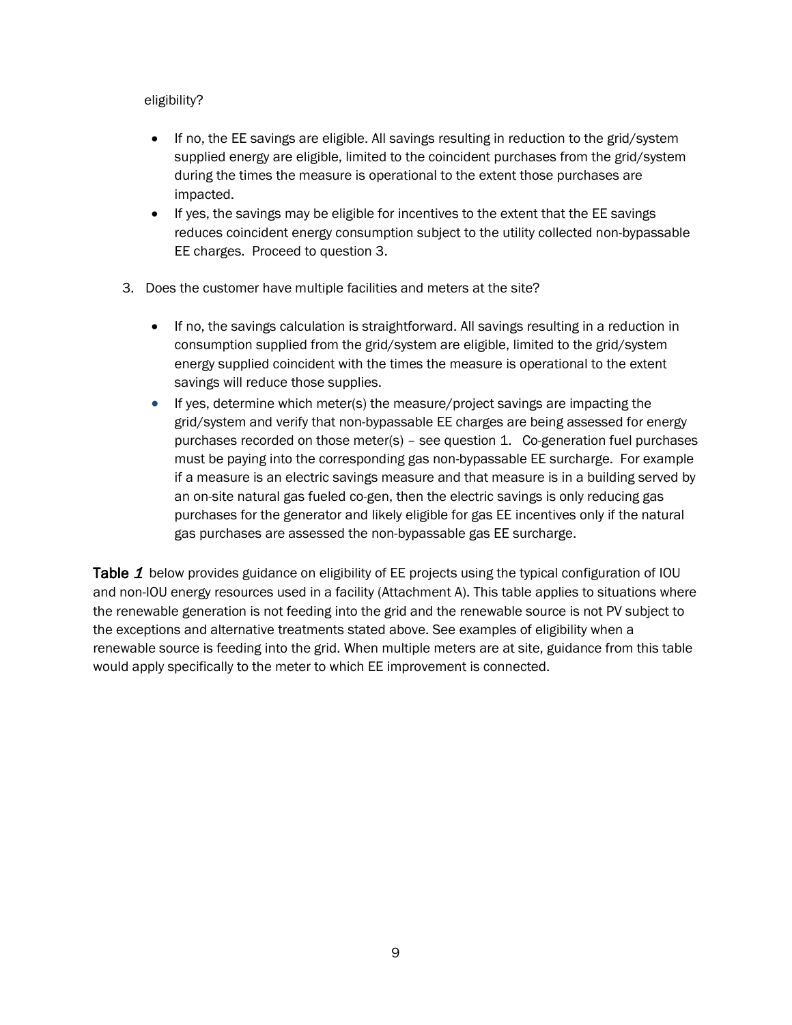#### eligibility?

- If no, the EE savings are eligible. All savings resulting in reduction to the grid/system supplied energy are eligible, limited to the coincident purchases from the grid/system during the times the measure is operational to the extent those purchases are impacted.
- If yes, the savings may be eligible for incentives to the extent that the EE savings reduces coincident energy consumption subject to the utility collected non-bypassable EE charges. Proceed to question 3.
- 3. Does the customer have multiple facilities and meters at the site?
	- If no, the savings calculation is straightforward. All savings resulting in a reduction in consumption supplied from the grid/system are eligible, limited to the grid/system energy supplied coincident with the times the measure is operational to the extent savings will reduce those supplies.
	- If yes, determine which meter(s) the measure/project savings are impacting the grid/system and verify that non-bypassable EE charges are being assessed for energy purchases recorded on those meter(s) – see question 1. Co-generation fuel purchases must be paying into the corresponding gas non-bypassable EE surcharge. For example if a measure is an electric savings measure and that measure is in a building served by an on-site natural gas fueled co-gen, then the electric savings is only reducing gas purchases for the generator and likely eligible for gas EE incentives only if the natural gas purchases are assessed the non-bypassable gas EE surcharge.

<span id="page-8-0"></span>[Table](#page-8-0) 1 below provides guidance on eligibility of EE projects using the typical configuration of IOU and non-IOU energy resources used in a facility (Attachment A). This table applies to situations where the renewable generation is not feeding into the grid and the renewable source is not PV subject to the exceptions and alternative treatments stated above. See examples of eligibility when a renewable source is feeding into the grid. When multiple meters are at site, guidance from this table would apply specifically to the meter to which EE improvement is connected.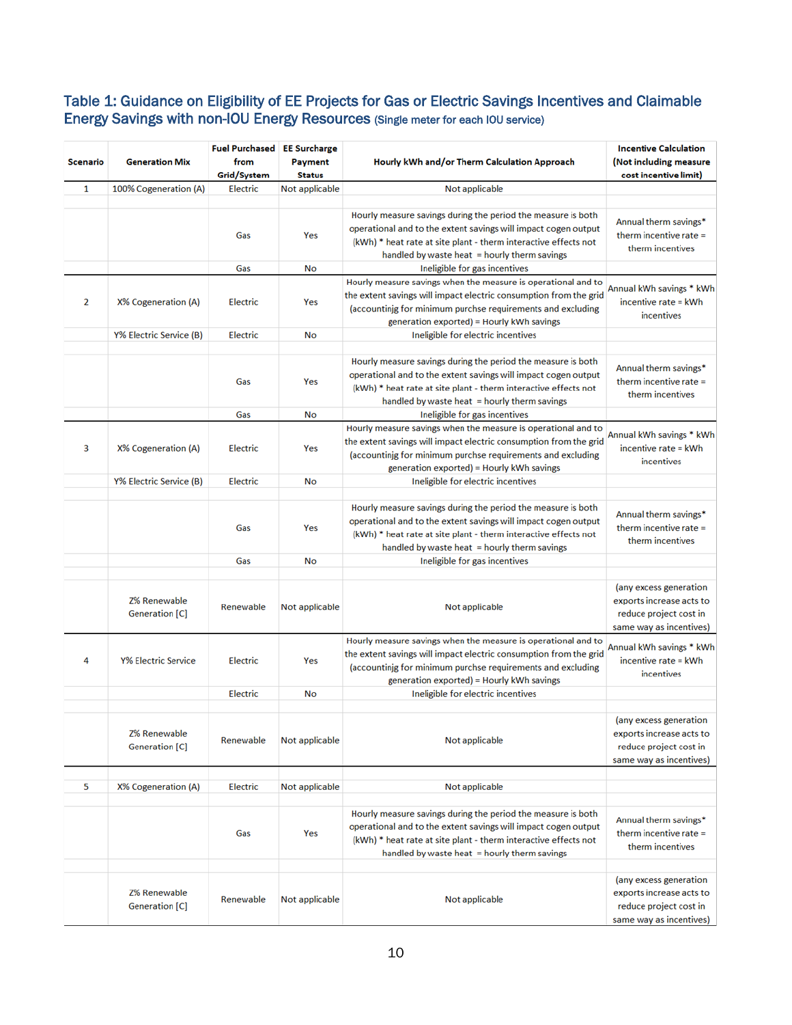#### Table 1: Guidance on Eligibility of EE Projects for Gas or Electric Savings Incentives and Claimable Energy Savings with non-IOU Energy Resources (Single meter for each IOU service)

| <b>Scenario</b> | <b>Generation Mix</b>                 | <b>Fuel Purchased</b><br>from<br>Grid/System | <b>EE Surcharge</b><br><b>Payment</b><br><b>Status</b> | Hourly kWh and/or Therm Calculation Approach                                                                                                                                                                                                        | <b>Incentive Calculation</b><br>(Not including measure<br>cost incentive limit)                         |
|-----------------|---------------------------------------|----------------------------------------------|--------------------------------------------------------|-----------------------------------------------------------------------------------------------------------------------------------------------------------------------------------------------------------------------------------------------------|---------------------------------------------------------------------------------------------------------|
| $\mathbf{1}$    | 100% Cogeneration (A)                 | Electric                                     | Not applicable                                         | Not applicable                                                                                                                                                                                                                                      |                                                                                                         |
|                 |                                       | Gas                                          | Yes                                                    | Hourly measure savings during the period the measure is both<br>operational and to the extent savings will impact cogen output<br>(kWh) * heat rate at site plant - therm interactive effects not<br>handled by waste heat = hourly therm savings   | Annual therm savings*<br>therm incentive rate $=$<br>therm incentives                                   |
|                 |                                       | Gas                                          | No                                                     | Ineligible for gas incentives                                                                                                                                                                                                                       |                                                                                                         |
| 2               | X% Cogeneration (A)                   | Electric                                     | Yes                                                    | Hourly measure savings when the measure is operational and to<br>the extent savings will impact electric consumption from the grid<br>(accountinjg for minimum purchse requirements and excluding<br>generation exported) = Hourly kWh savings      | Annual kWh savings * kWh<br>incentive rate = kWh<br>incentives                                          |
|                 | Y% Electric Service (B)               | <b>Electric</b>                              | No                                                     | Ineligible for electric incentives                                                                                                                                                                                                                  |                                                                                                         |
|                 |                                       | Gas                                          | Yes                                                    | Hourly measure savings during the period the measure is both<br>operational and to the extent savings will impact cogen output<br>(kWh) * heat rate at site plant - therm interactive effects not<br>handled by waste heat = hourly therm savings   | Annual therm savings*<br>therm incentive rate =<br>therm incentives                                     |
|                 |                                       | Gas                                          | No                                                     | Ineligible for gas incentives                                                                                                                                                                                                                       |                                                                                                         |
| з               | X% Cogeneration (A)                   | Electric                                     | Yes                                                    | Hourly measure savings when the measure is operational and to<br>the extent savings will impact electric consumption from the grid<br>(accountinig for minimum purchse requirements and excluding<br>generation exported) = Hourly kWh savings      | Annual kWh savings * kWh<br>incentive rate = kWh<br>incentives                                          |
|                 | Y% Electric Service (B)               | Electric                                     | No                                                     | Ineligible for electric incentives                                                                                                                                                                                                                  |                                                                                                         |
|                 |                                       |                                              |                                                        |                                                                                                                                                                                                                                                     |                                                                                                         |
|                 |                                       | Gas                                          | Yes                                                    | Hourly measure savings during the period the measure is both<br>operational and to the extent savings will impact cogen output<br>(kWh) * heat rate at site plant - therm interactive effects not<br>handled by waste heat = hourly therm savings   | Annual therm savings*<br>therm incentive rate $=$<br>therm incentives                                   |
|                 |                                       | Gas                                          | No                                                     | Ineligible for gas incentives                                                                                                                                                                                                                       |                                                                                                         |
|                 | <b>Z% Renewable</b><br>Generation [C] | Renewable                                    | Not applicable                                         | Not applicable                                                                                                                                                                                                                                      | (any excess generation<br>exports increase acts to<br>reduce project cost in<br>same way as incentives) |
| 4               | <b>Y% Electric Service</b>            | Electric                                     | Yes                                                    | Hourly measure savings when the measure is operational and to<br>the extent savings will impact electric consumption from the grid<br>(accountinjg for minimum purchse requirements and excluding<br>generation exported) = Hourly kWh savings      | Annual kWh savings * kWh<br>incentive rate = kWh<br>incentives                                          |
|                 |                                       | <b>Electric</b>                              | No                                                     | Ineligible for electric incentives                                                                                                                                                                                                                  |                                                                                                         |
|                 | Z% Renewable<br>Generation [C]        | Renewable                                    | Not applicable                                         | Not applicable                                                                                                                                                                                                                                      | (any excess generation<br>exports increase acts to<br>reduce project cost in<br>same way as incentives) |
| 5               |                                       | <b>Electric</b>                              | Not applicable                                         | Not applicable                                                                                                                                                                                                                                      |                                                                                                         |
|                 | X% Cogeneration (A)                   |                                              |                                                        |                                                                                                                                                                                                                                                     |                                                                                                         |
|                 |                                       | Gas                                          | Yes                                                    | Hourly measure savings during the period the measure is both<br>operational and to the extent savings will impact cogen output<br>(kWh) * heat rate at site plant - therm interactive effects not<br>handled by waste heat $=$ hourly therm savings | Annual therm savings*<br>therm incentive rate $=$<br>therm incentives                                   |
|                 | <b>Z% Renewable</b><br>Generation [C] | Renewable                                    | Not applicable                                         | Not applicable                                                                                                                                                                                                                                      | (any excess generation<br>exports increase acts to<br>reduce project cost in<br>same way as incentives) |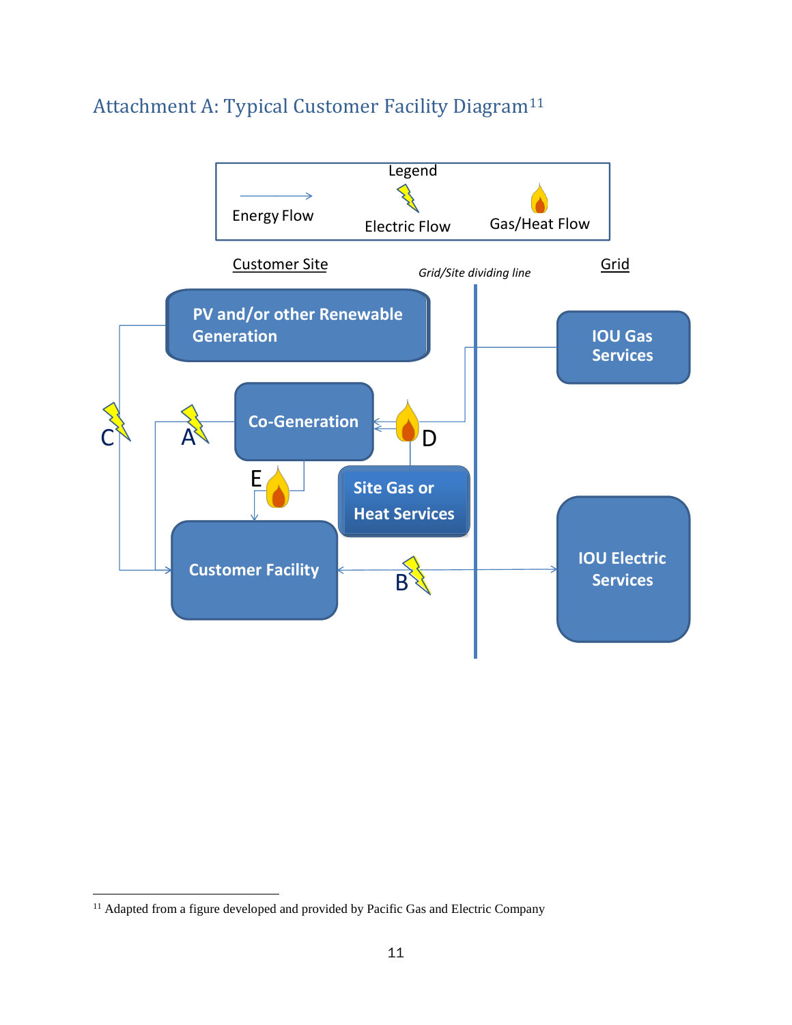

### <span id="page-10-0"></span>Attachment A: Typical Customer Facility Diagram[11](#page-10-1)

1

<span id="page-10-1"></span><sup>&</sup>lt;sup>11</sup> Adapted from a figure developed and provided by Pacific Gas and Electric Company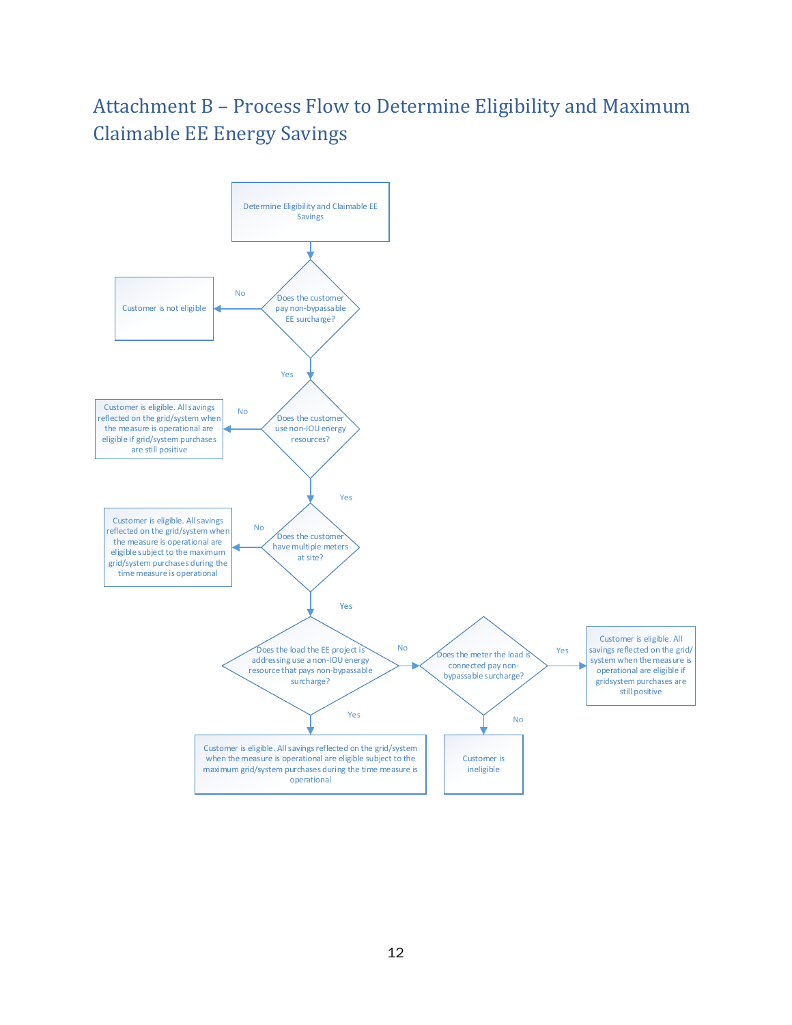# <span id="page-11-0"></span>Attachment B – Process Flow to Determine Eligibility and Maximum Claimable EE Energy Savings

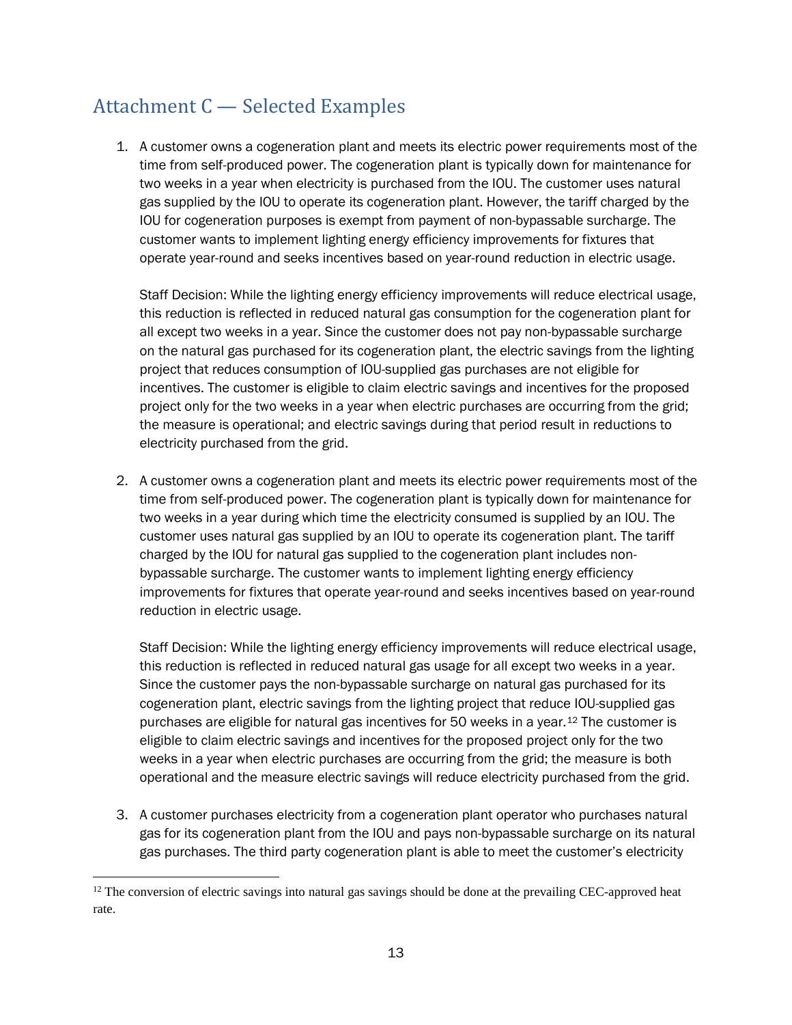# <span id="page-12-0"></span>Attachment C — Selected Examples

1. A customer owns a cogeneration plant and meets its electric power requirements most of the time from self-produced power. The cogeneration plant is typically down for maintenance for two weeks in a year when electricity is purchased from the IOU. The customer uses natural gas supplied by the IOU to operate its cogeneration plant. However, the tariff charged by the IOU for cogeneration purposes is exempt from payment of non-bypassable surcharge. The customer wants to implement lighting energy efficiency improvements for fixtures that operate year-round and seeks incentives based on year-round reduction in electric usage.

Staff Decision: While the lighting energy efficiency improvements will reduce electrical usage, this reduction is reflected in reduced natural gas consumption for the cogeneration plant for all except two weeks in a year. Since the customer does not pay non-bypassable surcharge on the natural gas purchased for its cogeneration plant, the electric savings from the lighting project that reduces consumption of IOU-supplied gas purchases are not eligible for incentives. The customer is eligible to claim electric savings and incentives for the proposed project only for the two weeks in a year when electric purchases are occurring from the grid; the measure is operational; and electric savings during that period result in reductions to electricity purchased from the grid.

2. A customer owns a cogeneration plant and meets its electric power requirements most of the time from self-produced power. The cogeneration plant is typically down for maintenance for two weeks in a year during which time the electricity consumed is supplied by an IOU. The customer uses natural gas supplied by an IOU to operate its cogeneration plant. The tariff charged by the IOU for natural gas supplied to the cogeneration plant includes nonbypassable surcharge. The customer wants to implement lighting energy efficiency improvements for fixtures that operate year-round and seeks incentives based on year-round reduction in electric usage.

Staff Decision: While the lighting energy efficiency improvements will reduce electrical usage, this reduction is reflected in reduced natural gas usage for all except two weeks in a year. Since the customer pays the non-bypassable surcharge on natural gas purchased for its cogeneration plant, electric savings from the lighting project that reduce IOU-supplied gas purchases are eligible for natural gas incentives for 50 weeks in a year.[12](#page-12-1) The customer is eligible to claim electric savings and incentives for the proposed project only for the two weeks in a year when electric purchases are occurring from the grid; the measure is both operational and the measure electric savings will reduce electricity purchased from the grid.

3. A customer purchases electricity from a cogeneration plant operator who purchases natural gas for its cogeneration plant from the IOU and pays non-bypassable surcharge on its natural gas purchases. The third party cogeneration plant is able to meet the customer's electricity

 $\ddot{\phantom{a}}$ 

<span id="page-12-1"></span> $12$  The conversion of electric savings into natural gas savings should be done at the prevailing CEC-approved heat rate.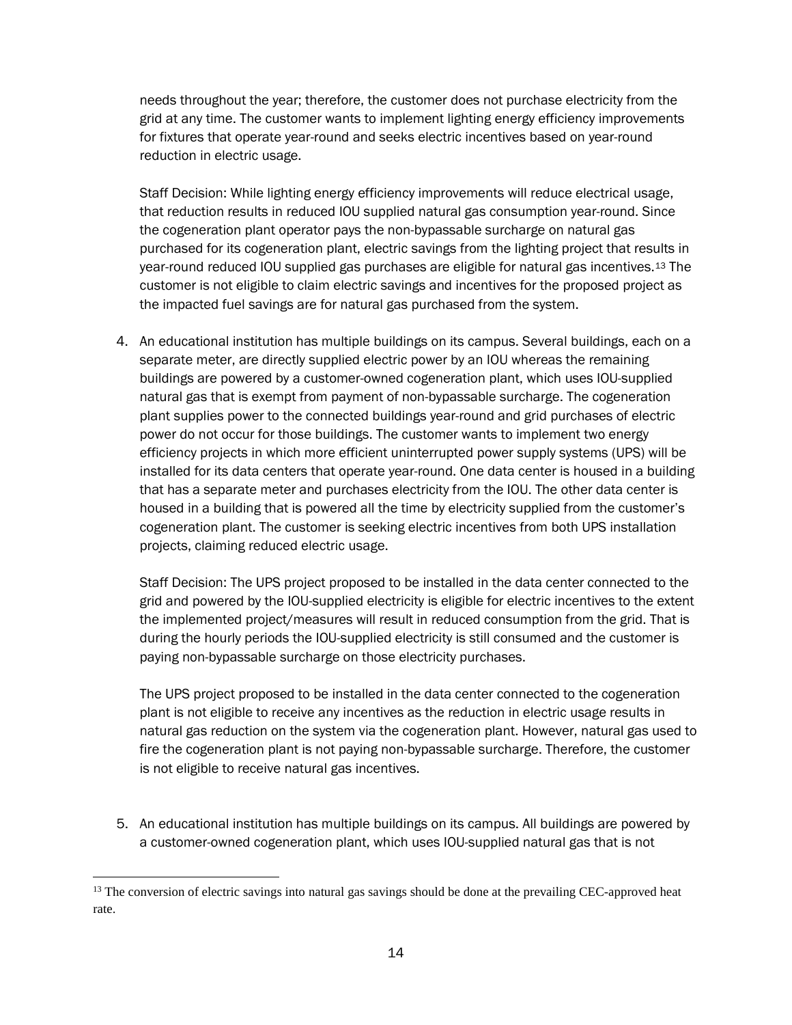needs throughout the year; therefore, the customer does not purchase electricity from the grid at any time. The customer wants to implement lighting energy efficiency improvements for fixtures that operate year-round and seeks electric incentives based on year-round reduction in electric usage.

Staff Decision: While lighting energy efficiency improvements will reduce electrical usage, that reduction results in reduced IOU supplied natural gas consumption year-round. Since the cogeneration plant operator pays the non-bypassable surcharge on natural gas purchased for its cogeneration plant, electric savings from the lighting project that results in year-round reduced IOU supplied gas purchases are eligible for natural gas incentives.[13](#page-13-0) The customer is not eligible to claim electric savings and incentives for the proposed project as the impacted fuel savings are for natural gas purchased from the system.

4. An educational institution has multiple buildings on its campus. Several buildings, each on a separate meter, are directly supplied electric power by an IOU whereas the remaining buildings are powered by a customer-owned cogeneration plant, which uses IOU-supplied natural gas that is exempt from payment of non-bypassable surcharge. The cogeneration plant supplies power to the connected buildings year-round and grid purchases of electric power do not occur for those buildings. The customer wants to implement two energy efficiency projects in which more efficient uninterrupted power supply systems (UPS) will be installed for its data centers that operate year-round. One data center is housed in a building that has a separate meter and purchases electricity from the IOU. The other data center is housed in a building that is powered all the time by electricity supplied from the customer's cogeneration plant. The customer is seeking electric incentives from both UPS installation projects, claiming reduced electric usage.

Staff Decision: The UPS project proposed to be installed in the data center connected to the grid and powered by the IOU-supplied electricity is eligible for electric incentives to the extent the implemented project/measures will result in reduced consumption from the grid. That is during the hourly periods the IOU-supplied electricity is still consumed and the customer is paying non-bypassable surcharge on those electricity purchases.

The UPS project proposed to be installed in the data center connected to the cogeneration plant is not eligible to receive any incentives as the reduction in electric usage results in natural gas reduction on the system via the cogeneration plant. However, natural gas used to fire the cogeneration plant is not paying non-bypassable surcharge. Therefore, the customer is not eligible to receive natural gas incentives.

5. An educational institution has multiple buildings on its campus. All buildings are powered by a customer-owned cogeneration plant, which uses IOU-supplied natural gas that is not

 $\ddot{\phantom{a}}$ 

<span id="page-13-0"></span><sup>&</sup>lt;sup>13</sup> The conversion of electric savings into natural gas savings should be done at the prevailing CEC-approved heat rate.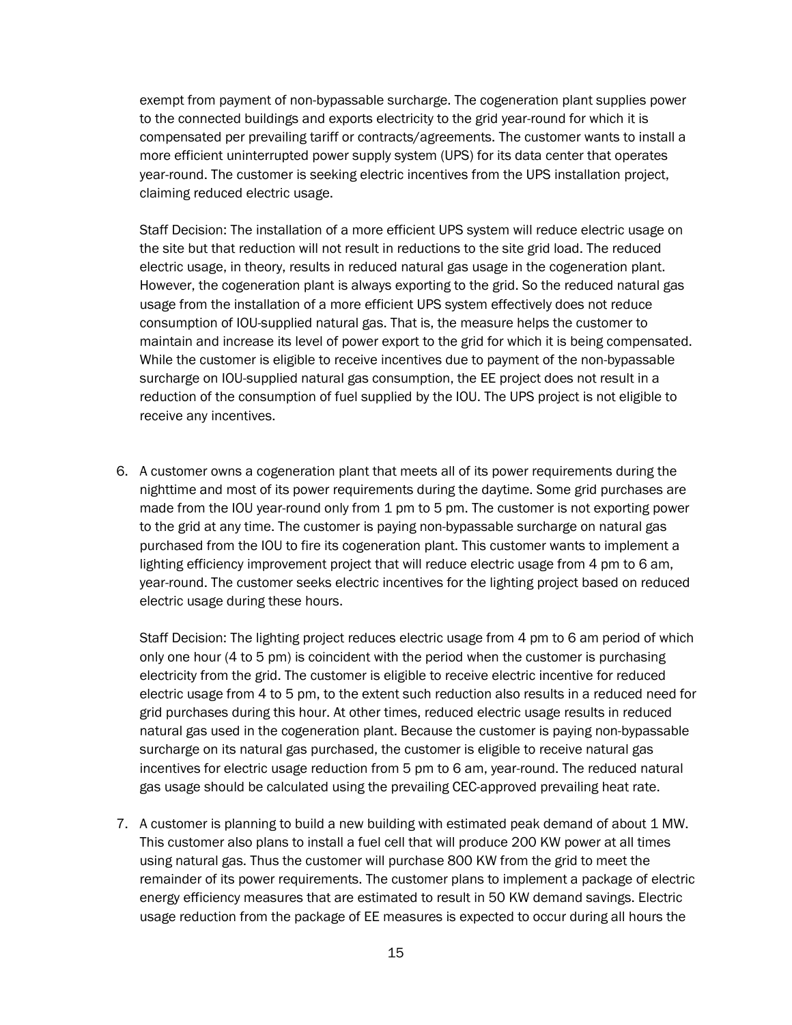exempt from payment of non-bypassable surcharge. The cogeneration plant supplies power to the connected buildings and exports electricity to the grid year-round for which it is compensated per prevailing tariff or contracts/agreements. The customer wants to install a more efficient uninterrupted power supply system (UPS) for its data center that operates year-round. The customer is seeking electric incentives from the UPS installation project, claiming reduced electric usage.

Staff Decision: The installation of a more efficient UPS system will reduce electric usage on the site but that reduction will not result in reductions to the site grid load. The reduced electric usage, in theory, results in reduced natural gas usage in the cogeneration plant. However, the cogeneration plant is always exporting to the grid. So the reduced natural gas usage from the installation of a more efficient UPS system effectively does not reduce consumption of IOU-supplied natural gas. That is, the measure helps the customer to maintain and increase its level of power export to the grid for which it is being compensated. While the customer is eligible to receive incentives due to payment of the non-bypassable surcharge on IOU-supplied natural gas consumption, the EE project does not result in a reduction of the consumption of fuel supplied by the IOU. The UPS project is not eligible to receive any incentives.

6. A customer owns a cogeneration plant that meets all of its power requirements during the nighttime and most of its power requirements during the daytime. Some grid purchases are made from the IOU year-round only from 1 pm to 5 pm. The customer is not exporting power to the grid at any time. The customer is paying non-bypassable surcharge on natural gas purchased from the IOU to fire its cogeneration plant. This customer wants to implement a lighting efficiency improvement project that will reduce electric usage from 4 pm to 6 am, year-round. The customer seeks electric incentives for the lighting project based on reduced electric usage during these hours.

Staff Decision: The lighting project reduces electric usage from 4 pm to 6 am period of which only one hour (4 to 5 pm) is coincident with the period when the customer is purchasing electricity from the grid. The customer is eligible to receive electric incentive for reduced electric usage from 4 to 5 pm, to the extent such reduction also results in a reduced need for grid purchases during this hour. At other times, reduced electric usage results in reduced natural gas used in the cogeneration plant. Because the customer is paying non-bypassable surcharge on its natural gas purchased, the customer is eligible to receive natural gas incentives for electric usage reduction from 5 pm to 6 am, year-round. The reduced natural gas usage should be calculated using the prevailing CEC-approved prevailing heat rate.

7. A customer is planning to build a new building with estimated peak demand of about 1 MW. This customer also plans to install a fuel cell that will produce 200 KW power at all times using natural gas. Thus the customer will purchase 800 KW from the grid to meet the remainder of its power requirements. The customer plans to implement a package of electric energy efficiency measures that are estimated to result in 50 KW demand savings. Electric usage reduction from the package of EE measures is expected to occur during all hours the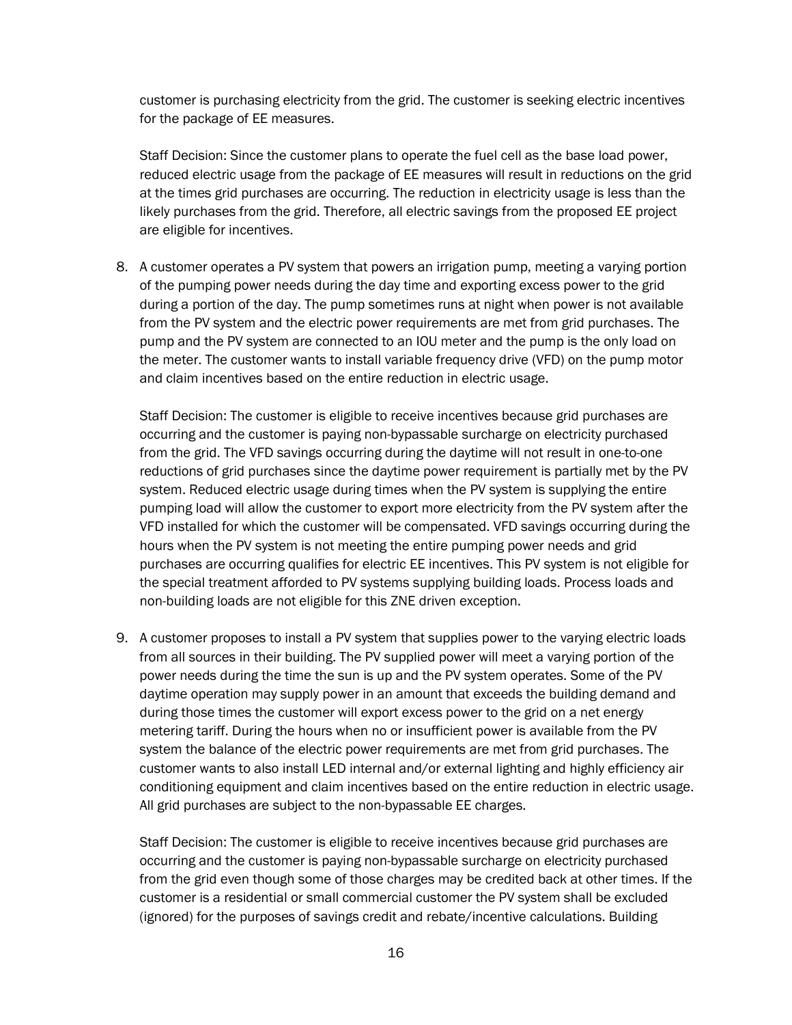customer is purchasing electricity from the grid. The customer is seeking electric incentives for the package of EE measures.

Staff Decision: Since the customer plans to operate the fuel cell as the base load power, reduced electric usage from the package of EE measures will result in reductions on the grid at the times grid purchases are occurring. The reduction in electricity usage is less than the likely purchases from the grid. Therefore, all electric savings from the proposed EE project are eligible for incentives.

8. A customer operates a PV system that powers an irrigation pump, meeting a varying portion of the pumping power needs during the day time and exporting excess power to the grid during a portion of the day. The pump sometimes runs at night when power is not available from the PV system and the electric power requirements are met from grid purchases. The pump and the PV system are connected to an IOU meter and the pump is the only load on the meter. The customer wants to install variable frequency drive (VFD) on the pump motor and claim incentives based on the entire reduction in electric usage.

Staff Decision: The customer is eligible to receive incentives because grid purchases are occurring and the customer is paying non-bypassable surcharge on electricity purchased from the grid. The VFD savings occurring during the daytime will not result in one-to-one reductions of grid purchases since the daytime power requirement is partially met by the PV system. Reduced electric usage during times when the PV system is supplying the entire pumping load will allow the customer to export more electricity from the PV system after the VFD installed for which the customer will be compensated. VFD savings occurring during the hours when the PV system is not meeting the entire pumping power needs and grid purchases are occurring qualifies for electric EE incentives. This PV system is not eligible for the special treatment afforded to PV systems supplying building loads. Process loads and non-building loads are not eligible for this ZNE driven exception.

9. A customer proposes to install a PV system that supplies power to the varying electric loads from all sources in their building. The PV supplied power will meet a varying portion of the power needs during the time the sun is up and the PV system operates. Some of the PV daytime operation may supply power in an amount that exceeds the building demand and during those times the customer will export excess power to the grid on a net energy metering tariff. During the hours when no or insufficient power is available from the PV system the balance of the electric power requirements are met from grid purchases. The customer wants to also install LED internal and/or external lighting and highly efficiency air conditioning equipment and claim incentives based on the entire reduction in electric usage. All grid purchases are subject to the non-bypassable EE charges.

Staff Decision: The customer is eligible to receive incentives because grid purchases are occurring and the customer is paying non-bypassable surcharge on electricity purchased from the grid even though some of those charges may be credited back at other times. If the customer is a residential or small commercial customer the PV system shall be excluded (ignored) for the purposes of savings credit and rebate/incentive calculations. Building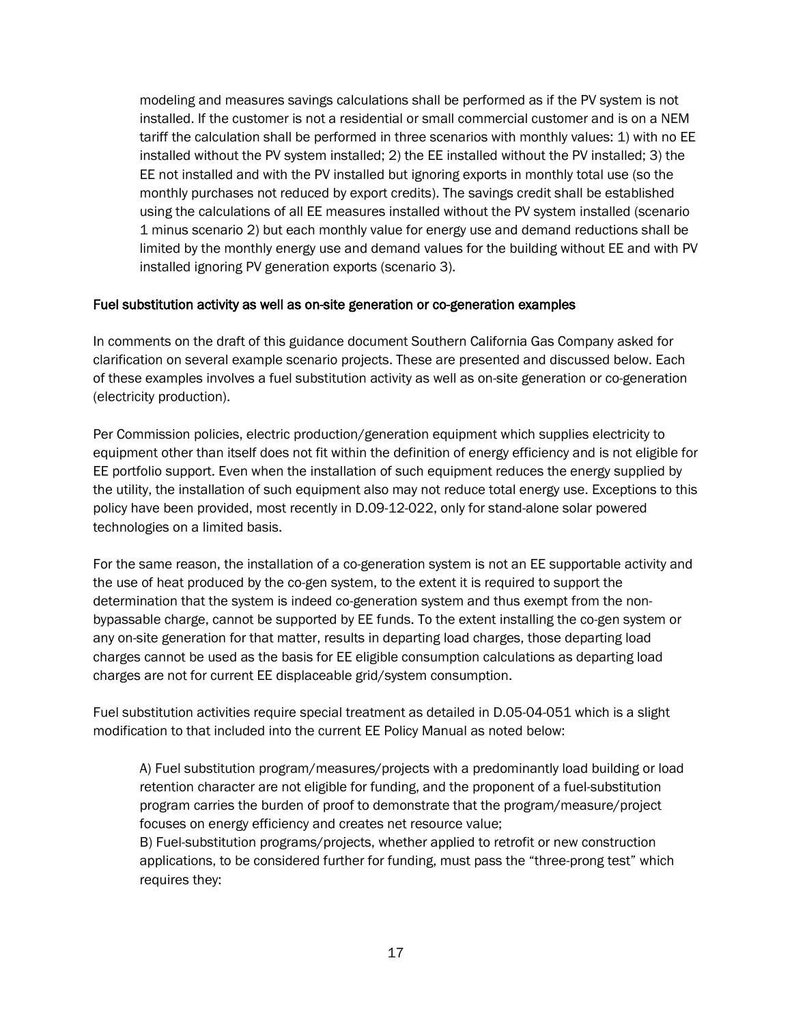modeling and measures savings calculations shall be performed as if the PV system is not installed. If the customer is not a residential or small commercial customer and is on a NEM tariff the calculation shall be performed in three scenarios with monthly values: 1) with no EE installed without the PV system installed; 2) the EE installed without the PV installed; 3) the EE not installed and with the PV installed but ignoring exports in monthly total use (so the monthly purchases not reduced by export credits). The savings credit shall be established using the calculations of all EE measures installed without the PV system installed (scenario 1 minus scenario 2) but each monthly value for energy use and demand reductions shall be limited by the monthly energy use and demand values for the building without EE and with PV installed ignoring PV generation exports (scenario 3).

#### Fuel substitution activity as well as on-site generation or co-generation examples

In comments on the draft of this guidance document Southern California Gas Company asked for clarification on several example scenario projects. These are presented and discussed below. Each of these examples involves a fuel substitution activity as well as on-site generation or co-generation (electricity production).

Per Commission policies, electric production/generation equipment which supplies electricity to equipment other than itself does not fit within the definition of energy efficiency and is not eligible for EE portfolio support. Even when the installation of such equipment reduces the energy supplied by the utility, the installation of such equipment also may not reduce total energy use. Exceptions to this policy have been provided, most recently in D.09-12-022, only for stand-alone solar powered technologies on a limited basis.

For the same reason, the installation of a co-generation system is not an EE supportable activity and the use of heat produced by the co-gen system, to the extent it is required to support the determination that the system is indeed co-generation system and thus exempt from the nonbypassable charge, cannot be supported by EE funds. To the extent installing the co-gen system or any on-site generation for that matter, results in departing load charges, those departing load charges cannot be used as the basis for EE eligible consumption calculations as departing load charges are not for current EE displaceable grid/system consumption.

Fuel substitution activities require special treatment as detailed in D.05-04-051 which is a slight modification to that included into the current EE Policy Manual as noted below:

A) Fuel substitution program/measures/projects with a predominantly load building or load retention character are not eligible for funding, and the proponent of a fuel-substitution program carries the burden of proof to demonstrate that the program/measure/project focuses on energy efficiency and creates net resource value;

B) Fuel-substitution programs/projects, whether applied to retrofit or new construction applications, to be considered further for funding, must pass the "three-prong test" which requires they: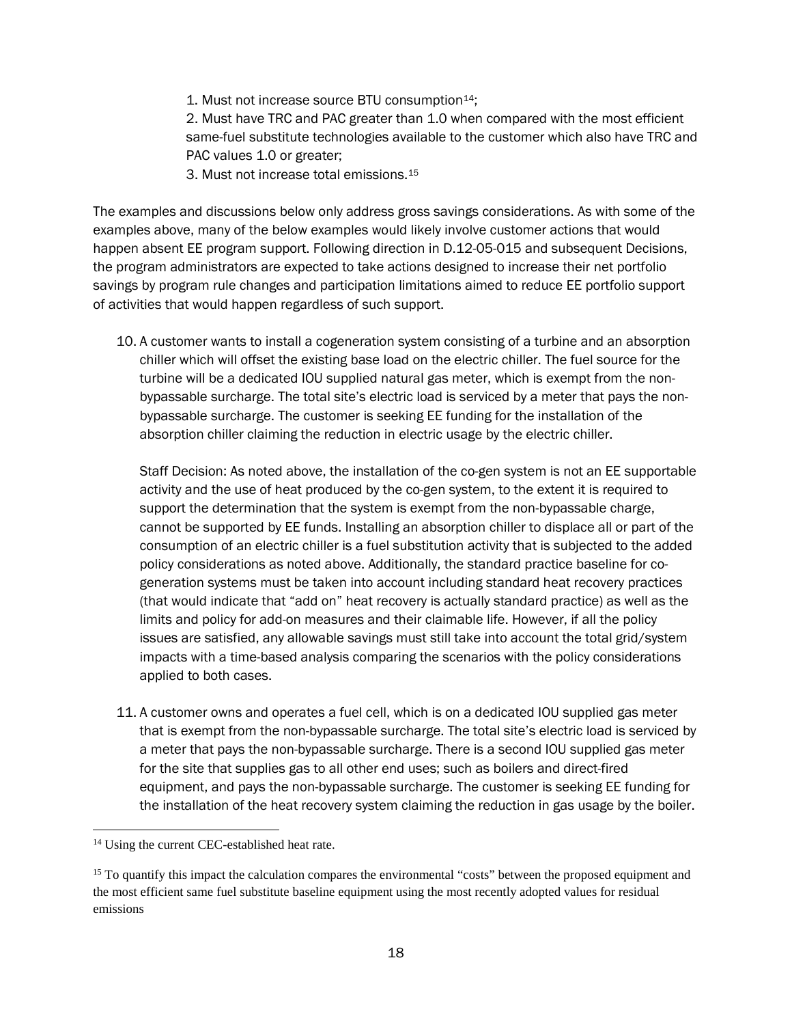1. Must not increase source BTU consumption<sup>14</sup>;

2. Must have TRC and PAC greater than 1.0 when compared with the most efficient same-fuel substitute technologies available to the customer which also have TRC and PAC values 1.0 or greater;

3. Must not increase total emissions.[15](#page-17-1)

The examples and discussions below only address gross savings considerations. As with some of the examples above, many of the below examples would likely involve customer actions that would happen absent EE program support. Following direction in D.12-05-015 and subsequent Decisions, the program administrators are expected to take actions designed to increase their net portfolio savings by program rule changes and participation limitations aimed to reduce EE portfolio support of activities that would happen regardless of such support.

10. A customer wants to install a cogeneration system consisting of a turbine and an absorption chiller which will offset the existing base load on the electric chiller. The fuel source for the turbine will be a dedicated IOU supplied natural gas meter, which is exempt from the nonbypassable surcharge. The total site's electric load is serviced by a meter that pays the nonbypassable surcharge. The customer is seeking EE funding for the installation of the absorption chiller claiming the reduction in electric usage by the electric chiller.

Staff Decision: As noted above, the installation of the co-gen system is not an EE supportable activity and the use of heat produced by the co-gen system, to the extent it is required to support the determination that the system is exempt from the non-bypassable charge, cannot be supported by EE funds. Installing an absorption chiller to displace all or part of the consumption of an electric chiller is a fuel substitution activity that is subjected to the added policy considerations as noted above. Additionally, the standard practice baseline for cogeneration systems must be taken into account including standard heat recovery practices (that would indicate that "add on" heat recovery is actually standard practice) as well as the limits and policy for add-on measures and their claimable life. However, if all the policy issues are satisfied, any allowable savings must still take into account the total grid/system impacts with a time-based analysis comparing the scenarios with the policy considerations applied to both cases.

11. A customer owns and operates a fuel cell, which is on a dedicated IOU supplied gas meter that is exempt from the non-bypassable surcharge. The total site's electric load is serviced by a meter that pays the non-bypassable surcharge. There is a second IOU supplied gas meter for the site that supplies gas to all other end uses; such as boilers and direct-fired equipment, and pays the non-bypassable surcharge. The customer is seeking EE funding for the installation of the heat recovery system claiming the reduction in gas usage by the boiler.

 $\ddot{\phantom{a}}$ 

<span id="page-17-0"></span><sup>&</sup>lt;sup>14</sup> Using the current CEC-established heat rate.

<span id="page-17-1"></span><sup>&</sup>lt;sup>15</sup> To quantify this impact the calculation compares the environmental "costs" between the proposed equipment and the most efficient same fuel substitute baseline equipment using the most recently adopted values for residual emissions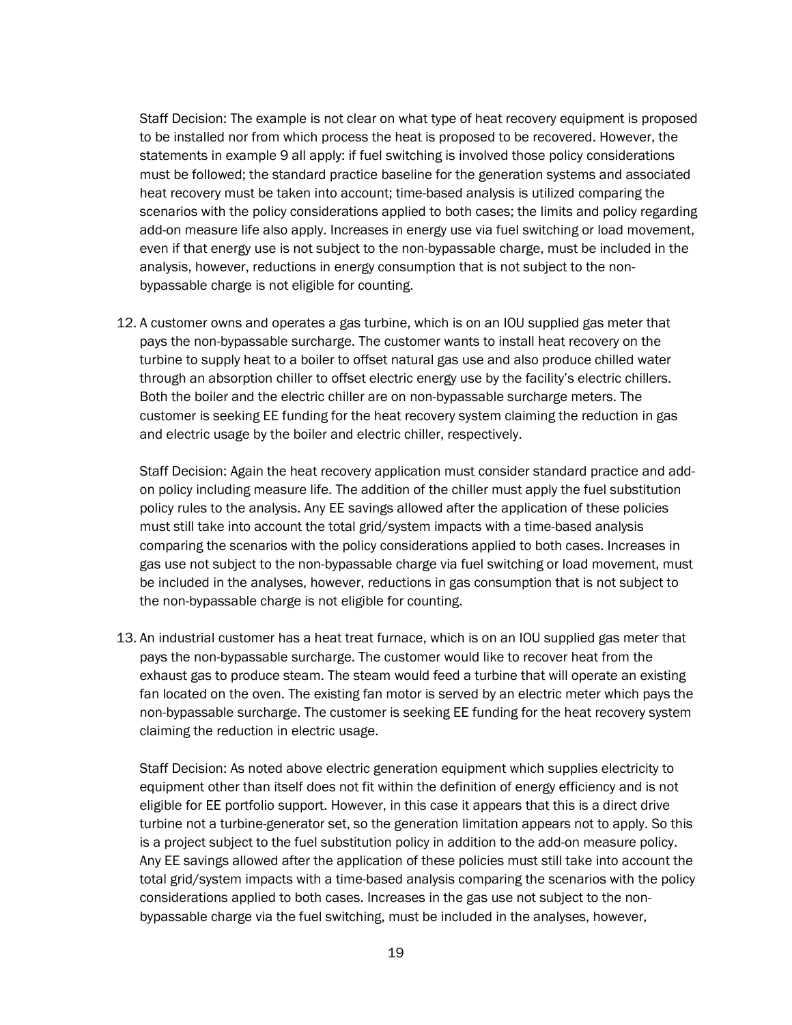Staff Decision: The example is not clear on what type of heat recovery equipment is proposed to be installed nor from which process the heat is proposed to be recovered. However, the statements in example 9 all apply: if fuel switching is involved those policy considerations must be followed; the standard practice baseline for the generation systems and associated heat recovery must be taken into account; time-based analysis is utilized comparing the scenarios with the policy considerations applied to both cases; the limits and policy regarding add-on measure life also apply. Increases in energy use via fuel switching or load movement, even if that energy use is not subject to the non-bypassable charge, must be included in the analysis, however, reductions in energy consumption that is not subject to the nonbypassable charge is not eligible for counting.

12. A customer owns and operates a gas turbine, which is on an IOU supplied gas meter that pays the non-bypassable surcharge. The customer wants to install heat recovery on the turbine to supply heat to a boiler to offset natural gas use and also produce chilled water through an absorption chiller to offset electric energy use by the facility's electric chillers. Both the boiler and the electric chiller are on non-bypassable surcharge meters. The customer is seeking EE funding for the heat recovery system claiming the reduction in gas and electric usage by the boiler and electric chiller, respectively.

Staff Decision: Again the heat recovery application must consider standard practice and addon policy including measure life. The addition of the chiller must apply the fuel substitution policy rules to the analysis. Any EE savings allowed after the application of these policies must still take into account the total grid/system impacts with a time-based analysis comparing the scenarios with the policy considerations applied to both cases. Increases in gas use not subject to the non-bypassable charge via fuel switching or load movement, must be included in the analyses, however, reductions in gas consumption that is not subject to the non-bypassable charge is not eligible for counting.

13. An industrial customer has a heat treat furnace, which is on an IOU supplied gas meter that pays the non-bypassable surcharge. The customer would like to recover heat from the exhaust gas to produce steam. The steam would feed a turbine that will operate an existing fan located on the oven. The existing fan motor is served by an electric meter which pays the non-bypassable surcharge. The customer is seeking EE funding for the heat recovery system claiming the reduction in electric usage.

Staff Decision: As noted above electric generation equipment which supplies electricity to equipment other than itself does not fit within the definition of energy efficiency and is not eligible for EE portfolio support. However, in this case it appears that this is a direct drive turbine not a turbine-generator set, so the generation limitation appears not to apply. So this is a project subject to the fuel substitution policy in addition to the add-on measure policy. Any EE savings allowed after the application of these policies must still take into account the total grid/system impacts with a time-based analysis comparing the scenarios with the policy considerations applied to both cases. Increases in the gas use not subject to the nonbypassable charge via the fuel switching, must be included in the analyses, however,